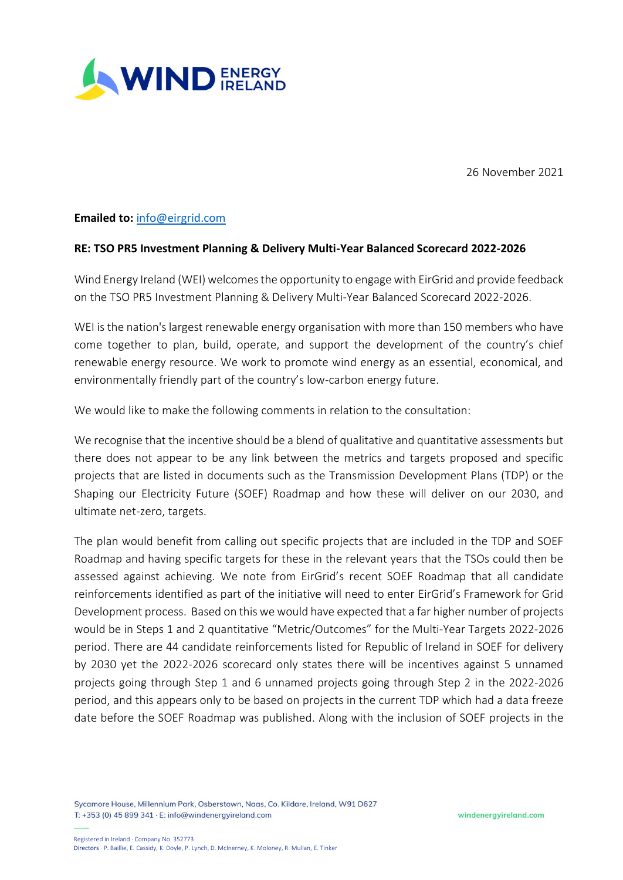

26 November 2021

## **Emailed to:** [info@eirgrid.com](mailto:info@eirgrid.com)

## **RE: TSO PR5 Investment Planning & Delivery Multi-Year Balanced Scorecard 2022-2026**

Wind Energy Ireland (WEI) welcomes the opportunity to engage with EirGrid and provide feedback on the TSO PR5 Investment Planning & Delivery Multi-Year Balanced Scorecard 2022-2026.

WEI is the nation's largest renewable energy organisation with more than 150 members who have come together to plan, build, operate, and support the development of the country's chief renewable energy resource. We work to promote wind energy as an essential, economical, and environmentally friendly part of the country's low-carbon energy future.

We would like to make the following comments in relation to the consultation:

We recognise that the incentive should be a blend of qualitative and quantitative assessments but there does not appear to be any link between the metrics and targets proposed and specific projects that are listed in documents such as the Transmission Development Plans (TDP) or the Shaping our Electricity Future (SOEF) Roadmap and how these will deliver on our 2030, and ultimate net-zero, targets.

The plan would benefit from calling out specific projects that are included in the TDP and SOEF Roadmap and having specific targets for these in the relevant years that the TSOs could then be assessed against achieving. We note from EirGrid's recent SOEF Roadmap that all candidate reinforcements identified as part of the initiative will need to enter EirGrid's Framework for Grid Development process. Based on this we would have expected that a far higher number of projects would be in Steps 1 and 2 quantitative "Metric/Outcomes" for the Multi-Year Targets 2022-2026 period. There are 44 candidate reinforcements listed for Republic of Ireland in SOEF for delivery by 2030 yet the 2022-2026 scorecard only states there will be incentives against 5 unnamed projects going through Step 1 and 6 unnamed projects going through Step 2 in the 2022-2026 period, and this appears only to be based on projects in the current TDP which had a data freeze date before the SOEF Roadmap was published. Along with the inclusion of SOEF projects in the

Sycamore House, Millennium Park, Osberstown, Naas, Co. Kildare, Ireland, W91 D627 T: +353 (0) 45 899 341 · E: info@windenergyireland.com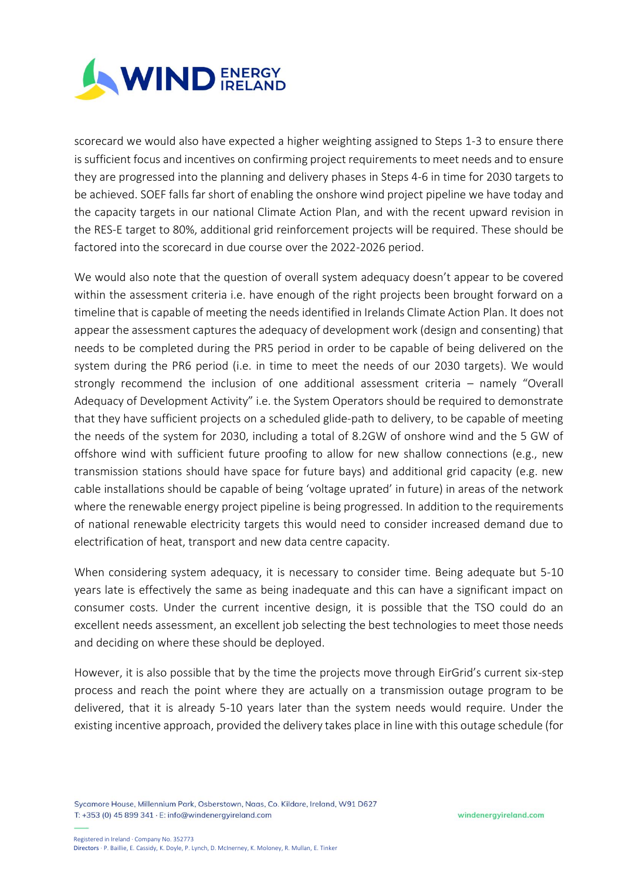

scorecard we would also have expected a higher weighting assigned to Steps 1-3 to ensure there is sufficient focus and incentives on confirming project requirements to meet needs and to ensure they are progressed into the planning and delivery phases in Steps 4-6 in time for 2030 targets to be achieved. SOEF falls far short of enabling the onshore wind project pipeline we have today and the capacity targets in our national Climate Action Plan, and with the recent upward revision in the RES-E target to 80%, additional grid reinforcement projects will be required. These should be factored into the scorecard in due course over the 2022-2026 period.

We would also note that the question of overall system adequacy doesn't appear to be covered within the assessment criteria i.e. have enough of the right projects been brought forward on a timeline that is capable of meeting the needs identified in Irelands Climate Action Plan. It does not appear the assessment captures the adequacy of development work (design and consenting) that needs to be completed during the PR5 period in order to be capable of being delivered on the system during the PR6 period (i.e. in time to meet the needs of our 2030 targets). We would strongly recommend the inclusion of one additional assessment criteria – namely "Overall Adequacy of Development Activity" i.e. the System Operators should be required to demonstrate that they have sufficient projects on a scheduled glide-path to delivery, to be capable of meeting the needs of the system for 2030, including a total of 8.2GW of onshore wind and the 5 GW of offshore wind with sufficient future proofing to allow for new shallow connections (e.g., new transmission stations should have space for future bays) and additional grid capacity (e.g. new cable installations should be capable of being 'voltage uprated' in future) in areas of the network where the renewable energy project pipeline is being progressed. In addition to the requirements of national renewable electricity targets this would need to consider increased demand due to electrification of heat, transport and new data centre capacity.

When considering system adequacy, it is necessary to consider time. Being adequate but 5-10 years late is effectively the same as being inadequate and this can have a significant impact on consumer costs. Under the current incentive design, it is possible that the TSO could do an excellent needs assessment, an excellent job selecting the best technologies to meet those needs and deciding on where these should be deployed.

However, it is also possible that by the time the projects move through EirGrid's current six-step process and reach the point where they are actually on a transmission outage program to be delivered, that it is already 5-10 years later than the system needs would require. Under the existing incentive approach, provided the delivery takes place in line with this outage schedule (for

Sycamore House, Millennium Park, Osberstown, Naas, Co. Kildare, Ireland, W91 D627 T: +353 (0) 45 899 341 · E: info@windenergyireland.com